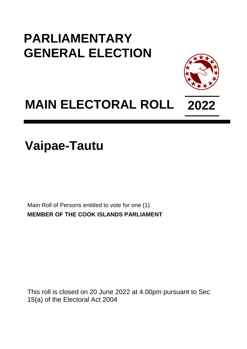## **PARLIAMENTARY GENERAL ELECTION**



## **MAIN ELECTORAL ROLL 2022**

**Vaipae-Tautu**

Main Roll of Persons entitled to vote for one (1) **MEMBER OF THE COOK ISLANDS PARLIAMENT**

This roll is closed on 20 June 2022 at 4.00pm pursuant to Sec 15(a) of the Electoral Act 2004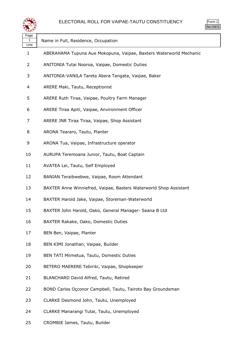



| Name in Full, Residence, Occupation                                |
|--------------------------------------------------------------------|
| ABERAHAMA Tupuna Aue Mokopuna, Vaipae, Baxters Waterworld Mechanic |
| ANITONIA Tutai Nooroa, Vaipae, Domestic Duties                     |
| ANITONIA-VANILA Tareta Abera Tangata, Vaipae, Baker                |
| ARERE Maki, Tautu, Receptionist                                    |
| ARERE Ruth Tiraa, Vaipae, Poultry Farm Manager                     |
| ARERE Tiraa Apiti, Vaipae, Anvironment Officer                     |
| ARERE JNR Tiraa Tiraa, Vaipae, Shop Assistant                      |
| ARONA Teararo, Tautu, Planter                                      |
| ARONA Tua, Vaipae, Infrastructure operator                         |
| AURUPA Teremoana Junior, Tautu, Boat Captain                       |
| AVATEA Lei, Tautu, Self Employed                                   |
| BANIAN Teraibwebwe, Vaipae, Room Attendant                         |
| BAXTER Anne Winniefred, Vaipae, Basters Waterworld Shop Assistant  |
| BAXTER Harold Jake, Vaipae, Storeman-Waterworld                    |
| BAXTER John Harold, Oako, General Manager- Seana B Ltd             |
| BAXTER Rakake, Oako, Domestic Duties                               |
| BEN Ben, Vaipae, Planter                                           |
| BEN KIMI Jonathan, Vaipae, Builder                                 |
| BEN TATI Miimetua, Tautu, Domestic Duties                          |
| BETERO MAERERE Tebiriki, Vaipae, Shopkeeper                        |
| BLANCHARD David Alfred, Tautu, Retired                             |
| BOND Carlos Occonor Campbell, Tautu, Tairoto Bay Groundsman        |
| CLARKE Desmond John, Tautu, Unemployed                             |
| CLARKE Manarangi Tutai, Tautu, Unemployed                          |
|                                                                    |

CROMBIE James, Tautu, Builder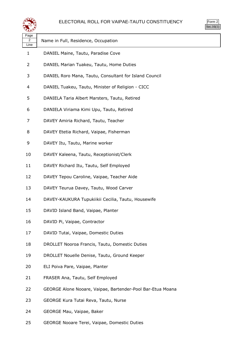## ELECTORAL ROLL FOR VAIPAE-TAUTU CONSTITUENCY

| ٦<br>7<br>Ξ |
|-------------|
|             |

| لتستعيثه                       |                                                            |
|--------------------------------|------------------------------------------------------------|
| Page<br>$\overline{2}$<br>Line | Name in Full, Residence, Occupation                        |
| 1                              | DANIEL Maine, Tautu, Paradise Cove                         |
| 2                              | DANIEL Marian Tuakeu, Tautu, Home Duties                   |
| 3                              | DANIEL Roro Mana, Tautu, Consultant for Island Council     |
| 4                              | DANIEL Tuakeu, Tautu, Minister of Religion - CICC          |
| 5                              | DANIELA Taria Albert Marsters, Tautu, Retired              |
| 6                              | DANIELA Viriama Kimi Upu, Tautu, Retired                   |
| 7                              | DAVEY Amiria Richard, Tautu, Teacher                       |
| 8                              | DAVEY Etetia Richard, Vaipae, Fisherman                    |
| 9                              | DAVEY Itu, Tautu, Marine worker                            |
| 10                             | DAVEY Kaleena, Tautu, Receptionist/Clerk                   |
| 11                             | DAVEY Richard Itu, Tautu, Self Employed                    |
| 12                             | DAVEY Tepou Caroline, Vaipae, Teacher Aide                 |
| 13                             | DAVEY Teurua Davey, Tautu, Wood Carver                     |
| 14                             | DAVEY-KAUKURA Tupukiikii Cecilia, Tautu, Housewife         |
| 15                             | DAVID Island Band, Vaipae, Planter                         |
| 16                             | DAVID Pi, Vaipae, Contractor                               |
| 17                             | DAVID Tutai, Vaipae, Domestic Duties                       |
| 18                             | DROLLET Nooroa Francis, Tautu, Domestic Duties             |
| 19                             | DROLLET Nouelle Denise, Tautu, Ground Keeper               |
| 20                             | ELI Poiva Pare, Vaipae, Planter                            |
| 21                             | FRASER Ana, Tautu, Self Employed                           |
| 22                             | GEORGE Alone Nooare, Vaipae, Bartender-Pool Bar-Etua Moana |
| 23                             | GEORGE Kura Tutai Reva, Tautu, Nurse                       |
| 24                             | GEORGE Mau, Vaipae, Baker                                  |

GEORGE Nooare Terei, Vaipae, Domestic Duties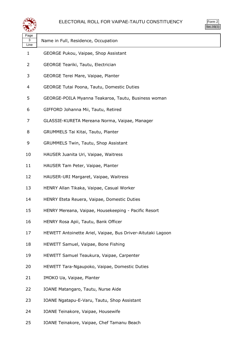

| Page<br>3<br>Line | Name in Full, Residence, Occupation                         |  |
|-------------------|-------------------------------------------------------------|--|
| $\mathbf{1}$      | GEORGE Pukou, Vaipae, Shop Assistant                        |  |
| 2                 | GEORGE Teariki, Tautu, Electrician                          |  |
| 3                 | GEORGE Terei Mare, Vaipae, Planter                          |  |
| 4                 | <b>GEORGE Tutai Poona, Tautu, Domestic Duties</b>           |  |
| 5                 | GEORGE-POILA Myanna Teakaroa, Tautu, Business woman         |  |
| 6                 | GIFFORD Johanna Mii, Tautu, Retired                         |  |
| 7                 | GLASSIE-KURETA Mereana Norma, Vaipae, Manager               |  |
| 8                 | GRUMMELS Tai Kitai, Tautu, Planter                          |  |
| 9                 | GRUMMELS Twin, Tautu, Shop Assistant                        |  |
| 10                | HAUSER Juanita Uri, Vaipae, Waitress                        |  |
| 11                | HAUSER Tam Peter, Vaipae, Planter                           |  |
| 12                | HAUSER-URI Margaret, Vaipae, Waitress                       |  |
| 13                | HENRY Allan Tikaka, Vaipae, Casual Worker                   |  |
| 14                | HENRY Eteta Reuera, Vaipae, Domestic Duties                 |  |
| 15                | HENRY Mereana, Vaipae, Housekeeping - Pacific Resort        |  |
| 16                | HENRY Rosa Apii, Tautu, Bank Officer                        |  |
| 17                | HEWETT Antoinette Ariel, Vaipae, Bus Driver-Aitutaki Lagoon |  |
| 18                | HEWETT Samuel, Vaipae, Bone Fishing                         |  |
| 19                | HEWETT Samuel Teaukura, Vaipae, Carpenter                   |  |
| 20                | HEWETT Tara-Ngaupoko, Vaipae, Domestic Duties               |  |
| 21                | IMOKO Ua, Vaipae, Planter                                   |  |
| 22                | IOANE Matangaro, Tautu, Nurse Aide                          |  |
| 23                | IOANE Ngatapu-E-Varu, Tautu, Shop Assistant                 |  |
| 24                | IOANE Teinakore, Vaipae, Housewife                          |  |

IOANE Teinakore, Vaipae, Chef Tamanu Beach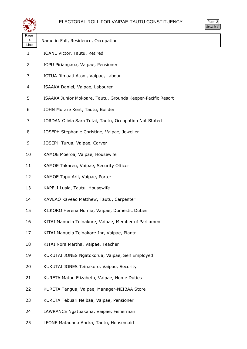

| Page<br>4<br>Line | Name in Full, Residence, Occupation                         |
|-------------------|-------------------------------------------------------------|
| 1                 | IOANE Victor, Tautu, Retired                                |
| 2                 | IOPU Piriangaoa, Vaipae, Pensioner                          |
| 3                 | IOTUA Rimaati Atoni, Vaipae, Labour                         |
| 4                 | ISAAKA Daniel, Vaipae, Labourer                             |
| 5                 | ISAAKA Junior Mokoare, Tautu, Grounds Keeper-Pacific Resort |
| 6                 | JOHN Murare Kent, Tautu, Builder                            |
| 7                 | JORDAN Olivia Sara Tutai, Tautu, Occupation Not Stated      |
| 8                 | JOSEPH Stephanie Christine, Vaipae, Jeweller                |
| 9                 | JOSEPH Turua, Vaipae, Carver                                |
| 10                | KAMOE Moeroa, Vaipae, Housewife                             |
| 11                | KAMOE Takareu, Vaipae, Security Officer                     |
| 12                | KAMOE Tapu Arii, Vaipae, Porter                             |
| 13                | KAPELI Lusia, Tautu, Housewife                              |
| 14                | KAVEAO Kaveao Matthew, Tautu, Carpenter                     |
| 15                | KIIKORO Herena Numia, Vaipae, Domestic Duties               |
| 16                | KITAI Manuela Teinakore, Vaipae, Member of Parliament       |
| 17                | KITAI Manuela Teinakore Jnr, Vaipae, Plantr                 |
| 18                | KITAI Nora Martha, Vaipae, Teacher                          |
| 19                | KUKUTAI JONES Ngatokorua, Vaipae, Self Employed             |
| 20                | KUKUTAI JONES Teinakore, Vaipae, Security                   |
| 21                | KURETA Matou Elizabeth, Vaipae, Home Duties                 |
| 22                | KURETA Tangua, Vaipae, Manager-NEIBAA Store                 |
| 23                | KURETA Tebuari Neibaa, Vaipae, Pensioner                    |
| 24                | LAWRANCE Ngatuakana, Vaipae, Fisherman                      |

LEONE Matauaua Andra, Tautu, Housemaid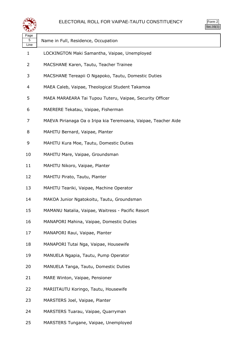

Form 2 Sec.16(1)

| ∼                 |                                                                |
|-------------------|----------------------------------------------------------------|
| Page<br>5<br>Line | Name in Full, Residence, Occupation                            |
| $\mathbf{1}$      | LOCKINGTON Maki Samantha, Vaipae, Unemployed                   |
| 2                 | MACSHANE Karen, Tautu, Teacher Trainee                         |
| 3                 | MACSHANE Tereapii O Ngapoko, Tautu, Domestic Duties            |
| 4                 | MAEA Caleb, Vaipae, Theological Student Takamoa                |
| 5                 | MAEA MARAEARA Tai Tupou Tuteru, Vaipae, Security Officer       |
| 6                 | MAERERE Tekatau, Vaipae, Fisherman                             |
| 7                 | MAEVA Pirianaga Oa o Iripa kia Teremoana, Vaipae, Teacher Aide |
| 8                 | MAHITU Bernard, Vaipae, Planter                                |
| 9                 | MAHITU Kura Moe, Tautu, Domestic Duties                        |
| 10                | MAHITU Mare, Vaipae, Groundsman                                |
| 11                | MAHITU Nikoro, Vaipae, Planter                                 |
| 12                | MAHITU Pirato, Tautu, Planter                                  |
| 13                | MAHITU Teariki, Vaipae, Machine Operator                       |
| 14                | MAKOA Junior Ngatokoitu, Tautu, Groundsman                     |
| 15                | MAMANU Natalia, Vaipae, Waitress - Pacific Resort              |
| 16                | MANAPORI Mahina, Vaipae, Domestic Duties                       |
| 17                | MANAPORI Raui, Vaipae, Planter                                 |
| 18                | MANAPORI Tutai Nga, Vaipae, Housewife                          |
| 19                | MANUELA Ngapia, Tautu, Pump Operator                           |
| 20                | MANUELA Tanga, Tautu, Domestic Duties                          |
| 21                | MARE Winton, Vaipae, Pensioner                                 |
| 22                | MARIITAUTU Koringo, Tautu, Housewife                           |
| 23                | MARSTERS Joel, Vaipae, Planter                                 |
| 24                | MARSTERS Tuarau, Vaipae, Quarryman                             |
| 25                | MARSTERS Tungane, Vaipae, Unemployed                           |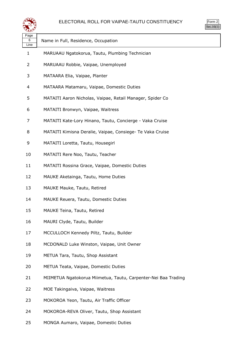

Form 2 Sec.16(1)

| Page<br>6<br>Line | Name in Full, Residence, Occupation                            |
|-------------------|----------------------------------------------------------------|
| 1                 | MARUAAU Ngatokorua, Tautu, Plumbing Technician                 |
| 2                 | MARUAAU Robbie, Vaipae, Unemployed                             |
| 3                 | MATAARA Elia, Vaipae, Planter                                  |
| 4                 | MATAARA Matamaru, Vaipae, Domestic Duties                      |
| 5                 | MATAITI Aaron Nicholas, Vaipae, Retail Manager, Spider Co      |
| 6                 | MATAITI Bronwyn, Vaipae, Waitress                              |
| 7                 | MATAITI Kate-Lory Hinano, Tautu, Concierge - Vaka Cruise       |
| 8                 | MATAITI Kimisna Deralie, Vaipae, Consiege- Te Vaka Cruise      |
| 9                 | MATAITI Loretta, Tautu, Housegirl                              |
| 10                | MATAITI Rere Noo, Tautu, Teacher                               |
| 11                | MATAITI Rossina Grace, Vaipae, Domestic Duties                 |
| 12                | MAUKE Aketainga, Tautu, Home Duties                            |
| 13                | MAUKE Mauke, Tautu, Retired                                    |
| 14                | MAUKE Reuera, Tautu, Domestic Duties                           |
| 15                | MAUKE Teina, Tautu, Retired                                    |
| 16                | MAURI Clyde, Tautu, Builder                                    |
| 17                | MCCULLOCH Kennedy Piltz, Tautu, Builder                        |
| 18                | MCDONALD Luke Winston, Vaipae, Unit Owner                      |
| 19                | METUA Tara, Tautu, Shop Assistant                              |
| 20                | METUA Teata, Vaipae, Domestic Duties                           |
| 21                | MIIMETUA Ngatokorua Miimetua, Tautu, Carpenter-Nei Baa Trading |
| 22                | MOE Takingaiva, Vaipae, Waitress                               |
| 23                | MOKOROA Yeon, Tautu, Air Traffic Officer                       |
| 24                | MOKOROA-REVA Oliver, Tautu, Shop Assistant                     |

MONGA Aumaro, Vaipae, Domestic Duties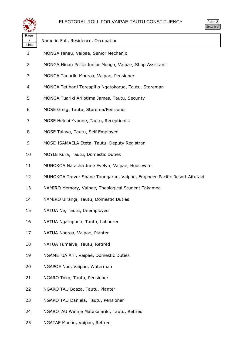

| 25  |  |
|-----|--|
| ٠ ا |  |

| ≍±≠               |                                                                          |
|-------------------|--------------------------------------------------------------------------|
| Page<br>7<br>Line | Name in Full, Residence, Occupation                                      |
| $\mathbf{1}$      | MONGA Hinau, Vaipae, Senior Mechanic                                     |
| 2                 | MONGA Hinau Pelita Junior Monga, Vaipae, Shop Assistant                  |
| 3                 | MONGA Tauariki Moeroa, Vaipae, Pensioner                                 |
| 4                 | MONGA Tetiharii Tereapii o Ngatokorua, Tautu, Storeman                   |
| 5                 | MONGA Tuariki Ariiotima James, Tautu, Security                           |
| 6                 | MOSE Greig, Tautu, Storema/Pensioner                                     |
| 7                 | MOSE Heleni Yvonne, Tautu, Receptionist                                  |
| 8                 | MOSE Taiava, Tautu, Self Employed                                        |
| 9                 | MOSE-ISAMAELA Eteta, Tautu, Deputy Registrar                             |
| 10                | MOYLE Kura, Tautu, Domestic Duties                                       |
| 11                | MUNOKOA Natasha June Evelyn, Vaipae, Housewife                           |
| 12                | MUNOKOA Trevor Shane Taungarau, Vaipae, Engineer-Pacific Resort Aitutaki |
| 13                | NAMIRO Memory, Vaipae, Theological Student Takamoa                       |
| 14                | NAMIRO Uirangi, Tautu, Domestic Duties                                   |
| 15                | NATUA Ne, Tautu, Unemployed                                              |
| 16                | NATUA Ngatupuna, Tautu, Labourer                                         |
| 17                | NATUA Nooroa, Vaipae, Planter                                            |
| 18                | NATUA Tumaiva, Tautu, Retired                                            |
| 19                | NGAMETUA Arii, Vaipae, Domestic Duties                                   |
| 20                | NGAPOE Noo, Vaipae, Waterman                                             |
| 21                | NGARO Toko, Tautu, Pensioner                                             |
| 22                | NGARO TAU Boaza, Tautu, Planter                                          |
| 23                | NGARO TAU Daniela, Tautu, Pensioner                                      |
| 24                | NGAROTAU Winnie Matakaiariki, Tautu, Retired                             |
| 25                | NGATAE Moeau, Vaipae, Retired                                            |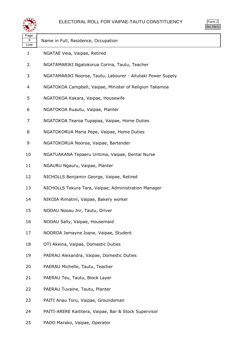

| ırm |  |
|-----|--|
|     |  |

| Page<br>8 | Name in Full, Residence, Occupation                         |
|-----------|-------------------------------------------------------------|
| Line      |                                                             |
| 1         | NGATAE Veia, Vaipae, Retired                                |
| 2         | NGATAMARIKI Ngatokorua Corina, Tautu, Teacher               |
| 3         | NGATAMARIKI Nooroa, Tautu, Labourer - Aitutaki Power Supply |
| 4         | NGATOKOA Campbell, Vaipae, Minister of Religion Takamoa     |
| 5         | NGATOKOA Kakara, Vaipae, Housewife                          |
| 6         | NGATOKOA Ruautu, Vaipae, Planter                            |
| 7         | NGATOKOA Tearoa Tupapaa, Vaipae, Home Duties                |
| 8         | NGATOKORUA Maria Pepe, Vaipae, Home Duties                  |
| 9         | NGATOKORUA Nooroa, Vaipae, Bartender                        |
| 10        | NGATUAKANA Tepaeru Uritima, Vaipae, Dental Nurse            |
| 11        | NGAURU Ngauru, Vaipae, Planter                              |
| 12        | NICHOLLS Benjamin George, Vaipae, Retired                   |
| 13        | NICHOLLS Tekura Tara, Vaipae, Administration Manager        |
| 14        | NIKOIA Rimatini, Vaipae, Bakery worker                      |
| 15        | NOOAU Nooau Jnr, Tautu, Driver                              |
| 16        | NOOAU Sally, Vaipae, Housemaid                              |
| 17        | NOOROA Jamayne Ioane, Vaipae, Student                       |
| 18        | OTI Akeina, Vaipae, Domestic Duties                         |
| 19        | PAERAU Alexandra, Vaipae, Domestic Duties                   |
| 20        | PAERAU Michelle, Tautu, Teacher                             |
| 21        | PAERAU Teu, Tautu, Block Layer                              |
| 22        | PAERAU Tuvaine, Tautu, Planter                              |
| 23        | PAITI Anau Toru, Vaipae, Groundsman                         |
| 24        | PAITI-ARERE Kaititera, Vaipae, Bar & Stock Supervisor       |

PAOO Marako, Vaipae, Operator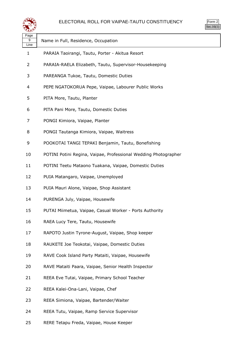



| પ∓≠У              |                                                                 |
|-------------------|-----------------------------------------------------------------|
| Page<br>9<br>Line | Name in Full, Residence, Occupation                             |
| $\mathbf{1}$      | PARAIA Taoirangi, Tautu, Porter - Akitua Resort                 |
| 2                 | PARAIA-RAELA Elizabeth, Tautu, Supervisor-Housekeeping          |
| 3                 | PAREANGA Tukoe, Tautu, Domestic Duties                          |
| 4                 | PEPE NGATOKORUA Pepe, Vaipae, Labourer Public Works             |
| 5                 | PITA More, Tautu, Planter                                       |
| 6                 | PITA Pani More, Tautu, Domestic Duties                          |
| 7                 | PONGI Kimiora, Vaipae, Planter                                  |
| 8                 | PONGI Tautanga Kimiora, Vaipae, Waitress                        |
| 9                 | POOKOTAI TANGI TEPAKI Benjamin, Tautu, Bonefishing              |
| 10                | POTINI Potini Regina, Vaipae, Professional Wedding Photographer |
| 11                | POTINI Teetu Mataono Tuakana, Vaipae, Domestic Duties           |
| 12                | PUIA Matangaro, Vaipae, Unemployed                              |
| 13                | PUIA Mauri Alone, Vaipae, Shop Assistant                        |
| 14                | PURENGA July, Vaipae, Housewife                                 |
| 15                | PUTAI Miimetua, Vaipae, Casual Worker - Ports Authority         |
| 16                | RAEA Lucy Tere, Tautu, Housewife                                |
| 17                | RAPOTO Justin Tyrone-August, Vaipae, Shop keeper                |
| 18                | RAUKETE Joe Teokotai, Vaipae, Domestic Duties                   |
| 19                | RAVE Cook Island Party Mataiti, Vaipae, Housewife               |
| 20                | RAVE Mataiti Paara, Vaipae, Senior Health Inspector             |
| 21                | REEA Eve Tutai, Vaipae, Primary School Teacher                  |
| 22                | REEA Kalei-Ona-Lani, Vaipae, Chef                               |
| 23                | REEA Simiona, Vaipae, Bartender/Waiter                          |
| 24                | REEA Tutu, Vaipae, Ramp Service Supervisor                      |
|                   |                                                                 |

RERE Tetapu Freda, Vaipae, House Keeper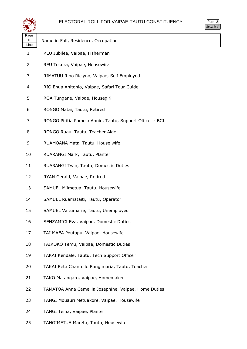

| マエン                |                                                          |
|--------------------|----------------------------------------------------------|
| Page<br>10<br>Line | Name in Full, Residence, Occupation                      |
| $\mathbf{1}$       | REU Jubilee, Vaipae, Fisherman                           |
| 2                  | REU Tekura, Vaipae, Housewife                            |
| 3                  | RIMATUU Rino Riclyno, Vaipae, Self Employed              |
| 4                  | RIO Enua Anitonio, Vaipae, Safari Tour Guide             |
| 5                  | ROA Tungane, Vaipae, Housegirl                           |
| 6                  | RONGO Matai, Tautu, Retired                              |
| 7                  | RONGO Piritia Pamela Annie, Tautu, Support Officer - BCI |
| 8                  | RONGO Ruau, Tautu, Teacher Aide                          |
| 9                  | RUAMOANA Mata, Tautu, House wife                         |
| 10                 | RUARANGI Mark, Tautu, Planter                            |
| 11                 | RUARANGI Twin, Tautu, Domestic Duties                    |
| 12                 | RYAN Gerald, Vaipae, Retired                             |
| 13                 | SAMUEL Miimetua, Tautu, Housewife                        |
| 14                 | SAMUEL Ruamataiti, Tautu, Operator                       |
| 15                 | SAMUEL Vaitumarie, Tautu, Unemployed                     |
| 16                 | SENZAMICI Eva, Vaipae, Domestic Duties                   |
| 17                 | TAI MAEA Poutapu, Vaipae, Housewife                      |
| 18                 | TAIKOKO Temu, Vaipae, Domestic Duties                    |
| 19                 | TAKAI Kendale, Tautu, Tech Support Officer               |
| 20                 | TAKAI Reta Chantelle Rangimaria, Tautu, Teacher          |
| 21                 | TAKO Matangaro, Vaipae, Homemaker                        |
| 22                 | TAMATOA Anna Camellia Josephine, Vaipae, Home Duties     |
| 23                 | TANGI Mouauri Metuakore, Vaipae, Housewife               |
| 24                 | TANGI Teina, Vaipae, Planter                             |

TANGIMETUA Mareta, Tautu, Housewife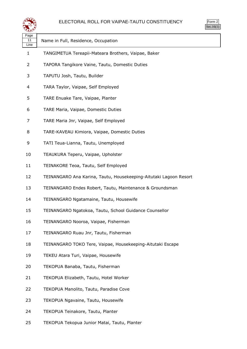

| ۱rm |  |
|-----|--|
|     |  |

| Page<br>11<br>Line | Name in Full, Residence, Occupation                               |
|--------------------|-------------------------------------------------------------------|
| $\mathbf{1}$       | TANGIMETUA Tereapii-Mateara Brothers, Vaipae, Baker               |
| $\overline{2}$     | TAPORA Tangikore Vaine, Tautu, Domestic Duties                    |
| 3                  | TAPUTU Josh, Tautu, Builder                                       |
| 4                  | TARA Taylor, Vaipae, Self Employed                                |
| 5                  | TARE Enuake Tare, Vaipae, Planter                                 |
| 6                  | TARE Maria, Vaipae, Domestic Duties                               |
| 7                  | TARE Maria Jnr, Vaipae, Self Employed                             |
| 8                  | TARE-KAVEAU Kimiora, Vaipae, Domestic Duties                      |
| 9                  | TATI Teua-Lianna, Tautu, Unemployed                               |
| 10                 | TEAUKURA Teperu, Vaipae, Upholster                                |
| 11                 | TEINAKORE Teoa, Tautu, Self Employed                              |
| 12                 | TEINANGARO Ana Karina, Tautu, Housekeeping-Aitutaki Lagoon Resort |
| 13                 | TEINANGARO Endes Robert, Tautu, Maintenance & Groundsman          |
| 14                 | TEINANGARO Ngatamaine, Tautu, Housewife                           |
| 15                 | TEINANGARO Ngatokoa, Tautu, School Guidance Counsellor            |
| 16                 | TEINANGARO Nooroa, Vaipae, Fisherman                              |
| 17                 | TEINANGARO Ruau Jnr, Tautu, Fisherman                             |
| 18                 | TEINANGARO TOKO Tere, Vaipae, Housekeeping-Aitutaki Escape        |
| 19                 | TEKEU Atara Turi, Vaipae, Housewife                               |
| 20                 | TEKOPUA Banaba, Tautu, Fisherman                                  |
| 21                 | TEKOPUA Elizabeth, Tautu, Hotel Worker                            |
| 22                 | TEKOPUA Manolito, Tautu, Paradise Cove                            |
| 23                 | TEKOPUA Ngavaine, Tautu, Housewife                                |
| 24                 | TEKOPUA Teinakore, Tautu, Planter                                 |
|                    |                                                                   |

TEKOPUA Tekopua Junior Matai, Tautu, Planter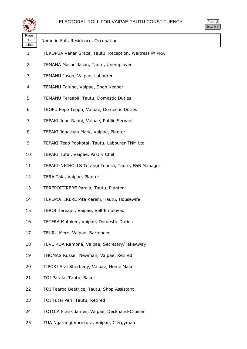

Form 2 Sec.16(1)

| Page<br>12 | Name in Full, Residence, Occupation                   |
|------------|-------------------------------------------------------|
| Line<br>1  | TEKOPUA Vanar Grace, Tautu, Reception, Waitress @ PRA |
| 2          | TEMANA Mason Jason, Tautu, Unemployed                 |
| 3          | TEMANU Jason, Vaipae, Labourer                        |
| 4          | TEMANU Taluna, Vaipae, Shop Keeper                    |
| 5          | TEMANU Tereapii, Tautu, Domestic Duties               |
| 6          | TEOPU Pepe Teopu, Vaipae, Domestic Duties             |
| 7          | TEPAKI John Rangi, Vaipae, Public Servant             |
| 8          | TEPAKI Jonathan Mark, Vaipae, Planter                 |
| 9          | TEPAKI Teao Pookotai, Tautu, Labourer-TNM Ltd         |
| 10         | TEPAKI Tutai, Vaipae, Pastry Chef                     |
| 11         | TEPAKI-NICHOLLS Terangi Tepora, Tautu, F&B Manager    |
| 12         | TERA Taia, Vaipae, Planter                            |
| 13         | TEREPOITIRERE Paraia, Tautu, Planter                  |
| 14         | TEREPOITIRERE Pita Kereni, Tautu, Housewife           |
| 15         | TEROI Tereapii, Vaipae, Self Employed                 |
| 16         | TETERA Matakeu, Vaipae, Domestic Duties               |
| 17         | TEURU Mere, Vaipae, Bartender                         |
| 18         | TEVE ROA Ramona, Vaipae, Secretary/TakeAway           |
| 19         | THOMAS Russell Newman, Vaipae, Retired                |
| 20         | TIPOKI Arai Sherbeny, Vaipae, Home Maker              |
| 21         | TOI Paraia, Tautu, Baker                              |
| 22         | TOI Tearoa Beatrice, Tautu, Shop Assistant            |
| 23         | TOI Tutai Peri, Tautu, Retired                        |
| 24         | TOTOIA Frank James, Vaipae, Deckhand-Cruiser          |
| 25         | TUA Ngarangi Varokura, Vaipae, Clergyman              |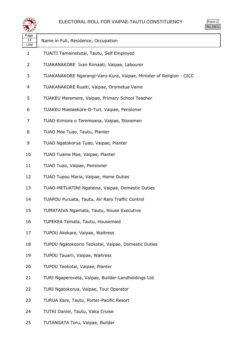

| لتحقيقه            |                                                                     |  |
|--------------------|---------------------------------------------------------------------|--|
| Page<br>13<br>Line | Name in Full, Residence, Occupation                                 |  |
| 1                  | TUAITI Tamainetutai, Tautu, Self Employed                           |  |
| 2                  | TUAKANAKORE Ivan Rimaati, Vaipae, Labourer                          |  |
| 3                  | TUAKANAKORE Ngarangi-Varo-Kura, Vaipae, Minister of Religion - CICC |  |
| 4                  | TUAKANAKORE Ruaiti, Vaipae, Orometua Vaine                          |  |
| 5                  | TUAKEU Meremere, Vaipae, Primary School Teacher                     |  |
| 6                  | TUAKEU Moetaekore-O-Turi, Vaipae, Pensioner                         |  |
| 7                  | TUAO Kimiora o Teremoana, Vaipae, Storemen                          |  |
| 8                  | TUAO Moe Tuao, Tautu, Planter                                       |  |
| 9                  | TUAO Ngatokorua Tuao, Vaipae, Planter                               |  |
| 10                 | TUAO Tuaine Moe, Vaipae, Planter                                    |  |
| 11                 | TUAO Tuao, Vaipae, Pensioner                                        |  |
| 12                 | TUAO Tupou Maria, Vaipae, Home Duties                               |  |
| 13                 | TUAO-METUATINI Ngateina, Vaipae, Domestic Duties                    |  |
| 14                 | TUAPOU Puruata, Tautu, Air Raro Traffic Control                     |  |
| 15                 | TUMATAIVA Ngamata, Tautu, House Executive                           |  |
| 16                 | TUPEKEA Temata, Tautu, Housemaid                                    |  |
| 17                 | TUPOU Akekare, Vaipae, Waitress                                     |  |
| 18                 | TUPOU Ngatokoono Teokotai, Vaipae, Domestic Duties                  |  |
| 19                 | TUPOU Tauarii, Vaipae, Waitress                                     |  |
| 20                 | TUPOU Teokotai, Vaipae, Planter                                     |  |
| 21                 | TURI Ngaperoveta, Vaipae, Builder-Landholdings Ltd                  |  |
| 22                 | TURI Ngatokorua, Vaipae, Tour Operator                              |  |
| 23                 | TURUA Kare, Tautu, Porter-Pacific Resort                            |  |
| 24                 | TUTAI Daniel, Tautu, Vaka Cruise                                    |  |
|                    |                                                                     |  |

TUTANGATA Toru, Vaipae, Builder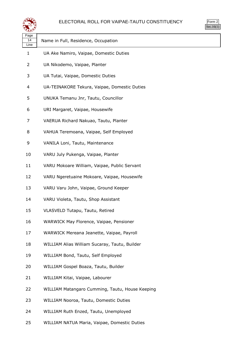

| ∽                  |                                                 |
|--------------------|-------------------------------------------------|
| Page<br>14<br>Line | Name in Full, Residence, Occupation             |
| 1                  | UA Ake Namiro, Vaipae, Domestic Duties          |
| 2                  | UA Nikodemo, Vaipae, Planter                    |
| 3                  | UA Tutai, Vaipae, Domestic Duties               |
| 4                  | UA-TEINAKORE Tekura, Vaipae, Domestic Duties    |
| 5                  | UNUKA Temanu Jnr, Tautu, Councillor             |
| 6                  | URI Margaret, Vaipae, Housewife                 |
| 7                  | VAERUA Richard Nakuao, Tautu, Planter           |
| 8                  | VAHUA Teremoana, Vaipae, Self Employed          |
| 9                  | VANILA Loni, Tautu, Maintenance                 |
| 10                 | VARU July Pukenga, Vaipae, Planter              |
| 11                 | VARU Mokoare William, Vaipae, Public Servant    |
| 12                 | VARU Ngeretuaine Mokoare, Vaipae, Housewife     |
| 13                 | VARU Varu John, Vaipae, Ground Keeper           |
| 14                 | VARU Violeta, Tautu, Shop Assistant             |
| 15                 | VLASVELD Tutapu, Tautu, Retired                 |
| 16                 | WARWICK May Florence, Vaipae, Pensioner         |
| 17                 | WARWICK Mereana Jeanette, Vaipae, Payroll       |
| 18                 | WILLIAM Alias William Sucaray, Tautu, Builder   |
| 19                 | WILLIAM Bond, Tautu, Self Employed              |
| 20                 | WILLIAM Gospel Boaza, Tautu, Builder            |
| 21                 | WILLIAM Kitai, Vaipae, Labourer                 |
| 22                 | WILLIAM Matangaro Cumming, Tautu, House Keeping |
| 23                 | WILLIAM Nooroa, Tautu, Domestic Duties          |
| 24                 | WILLIAM Ruth Enzed, Tautu, Unemployed           |
| 25                 | WILLIAM NATUA Maria, Vaipae, Domestic Duties    |